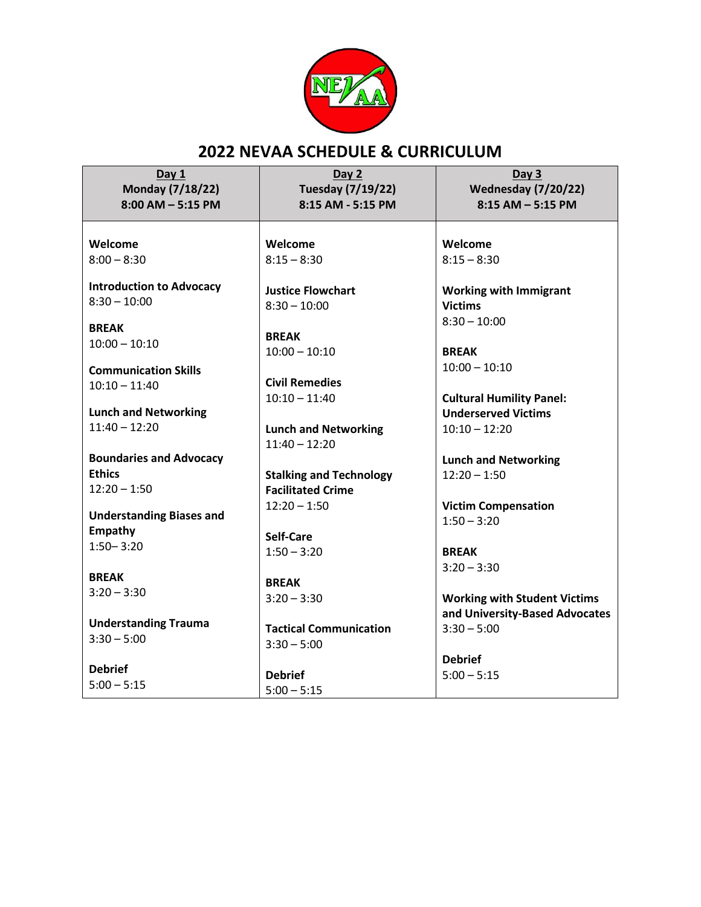

# **2022 NEVAA SCHEDULE & CURRICULUM**

**Day 1 Monday (7/18/22) 8:00 AM – 5:15 PM**

**Day 2 Tuesday (7/19/22) 8:15 AM - 5:15 PM**

**Welcome** 8:00 – 8:30

**Introduction to Advocacy** 8:30 – 10:00

**BREAK**  $10:00 - 10:10$ 

**Communication Skills**  10:10 – 11:40

**Lunch and Networking**  11:40 – 12:20

**Boundaries and Advocacy Ethics**  $12:20 - 1:50$ 

**Understanding Biases and Empathy**  1:50– 3:20

**BREAK**  $3:20 - 3:30$ 

**Understanding Trauma**  $3:30 - 5:00$ 

**Debrief**  $5:00 - 5:15$  **Welcome**  $8:15 - 8:30$ 

**Justice Flowchart**  $8:30 - 10:00$ 

**BREAK** 10:00 – 10:10

**Civil Remedies**   $10:10 - 11:40$ 

**Lunch and Networking**  11:40 – 12:20

**Stalking and Technology Facilitated Crime**   $12:20 - 1:50$ 

**Self-Care**  $1:50 - 3:20$ 

**BREAK**  $3:20 - 3:30$ 

**Tactical Communication**   $3:30 - 5:00$ 

**Debrief** 5:00 – 5:15

**Day 3 Wednesday (7/20/22) 8:15 AM – 5:15 PM**

**Welcome**  $8:15 - 8:30$ 

**Working with Immigrant Victims**  $8:30 - 10:00$ 

**BREAK** 10:00 – 10:10

**Cultural Humility Panel: Underserved Victims**  10:10 – 12:20

**Lunch and Networking**   $12:20 - 1:50$ 

**Victim Compensation**  $1:50 - 3:20$ 

**BREAK**  $3:20 - 3:30$ 

**Working with Student Victims and University-Based Advocates**  $3:30 - 5:00$ 

**Debrief**  $5:00 - 5:15$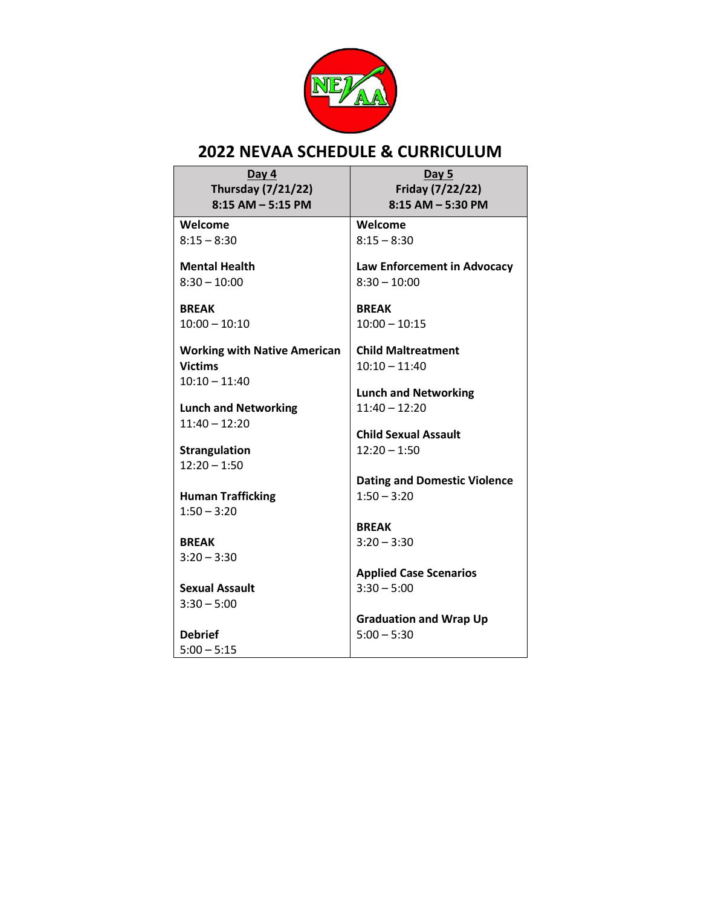

# **2022 NEVAA SCHEDULE & CURRICULUM**

| Day 4<br><b>Thursday (7/21/22)</b><br>$8:15$ AM $-$ 5:15 PM | Day 5<br>Friday (7/22/22)<br>$8:15$ AM $-$ 5:30 PM   |
|-------------------------------------------------------------|------------------------------------------------------|
| Welcome                                                     | Welcome                                              |
| $8:15 - 8:30$                                               | $8:15 - 8:30$                                        |
| <b>Mental Health</b><br>$8:30 - 10:00$                      | Law Enforcement in Advocacy<br>$8:30 - 10:00$        |
| <b>BREAK</b><br>$10:00 - 10:10$                             | <b>BREAK</b><br>$10:00 - 10:15$                      |
| <b>Working with Native American</b><br><b>Victims</b>       | <b>Child Maltreatment</b><br>$10:10 - 11:40$         |
| $10:10 - 11:40$                                             | <b>Lunch and Networking</b>                          |
| <b>Lunch and Networking</b>                                 | $11:40 - 12:20$                                      |
| $11:40 - 12:20$                                             | <b>Child Sexual Assault</b>                          |
| <b>Strangulation</b>                                        | $12:20 - 1:50$                                       |
| $12:20 - 1:50$                                              |                                                      |
| <b>Human Trafficking</b><br>$1:50 - 3:20$                   | <b>Dating and Domestic Violence</b><br>$1:50 - 3:20$ |
|                                                             | <b>BREAK</b>                                         |
| <b>BREAK</b>                                                | $3:20 - 3:30$                                        |
| $3:20 - 3:30$                                               |                                                      |
|                                                             | <b>Applied Case Scenarios</b>                        |
| <b>Sexual Assault</b><br>$3:30 - 5:00$                      | $3:30 - 5:00$                                        |
|                                                             | <b>Graduation and Wrap Up</b>                        |
| <b>Debrief</b>                                              | $5:00 - 5:30$                                        |
| $5:00 - 5:15$                                               |                                                      |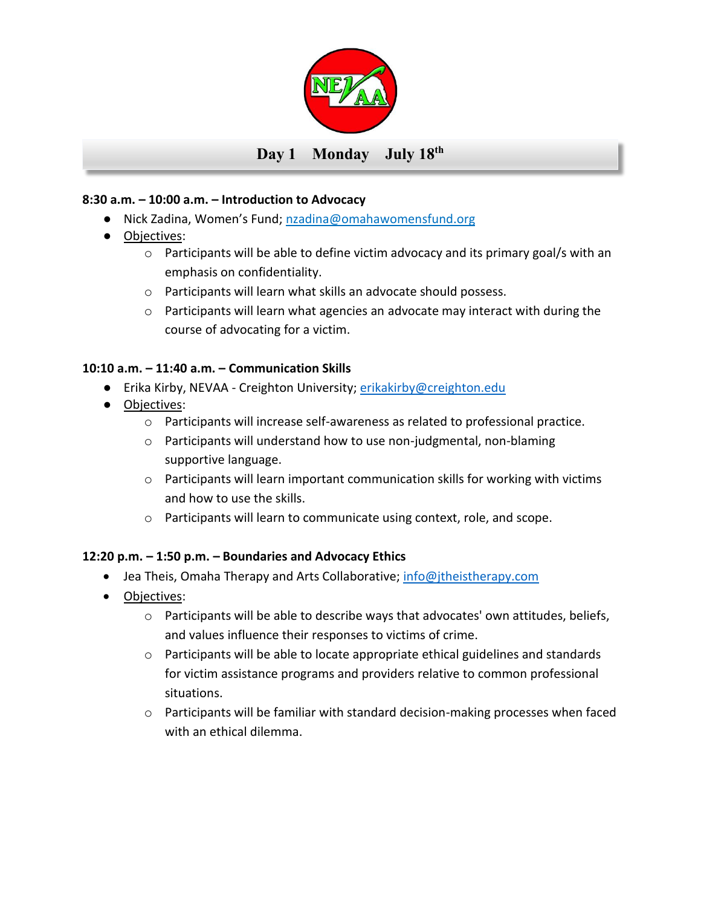

## **8:30 a.m. – 10:00 a.m. – Introduction to Advocacy**

- Nick Zadina, Women's Fund; nzadina@omahawomensfund.org
- Objectives:
	- $\circ$  Participants will be able to define victim advocacy and its primary goal/s with an emphasis on confidentiality.
	- o Participants will learn what skills an advocate should possess.
	- $\circ$  Participants will learn what agencies an advocate may interact with during the course of advocating for a victim.

## **10:10 a.m. – 11:40 a.m. – Communication Skills**

- Erika Kirby, NEVAA Creighton University; [erikakirby@creighton.edu](mailto:erikakirby@creighton.edu)
- Objectives:
	- o Participants will increase self-awareness as related to professional practice.
	- o Participants will understand how to use non-judgmental, non-blaming supportive language.
	- $\circ$  Participants will learn important communication skills for working with victims and how to use the skills.
	- o Participants will learn to communicate using context, role, and scope.

# **12:20 p.m. – 1:50 p.m. – Boundaries and Advocacy Ethics**

- Jea Theis, Omaha Therapy and Arts Collaborative; [info@jtheistherapy.com](mailto:info@jtheistherapy.com)
- Objectives:
	- $\circ$  Participants will be able to describe ways that advocates' own attitudes, beliefs, and values influence their responses to victims of crime.
	- o Participants will be able to locate appropriate ethical guidelines and standards for victim assistance programs and providers relative to common professional situations.
	- o Participants will be familiar with standard decision-making processes when faced with an ethical dilemma.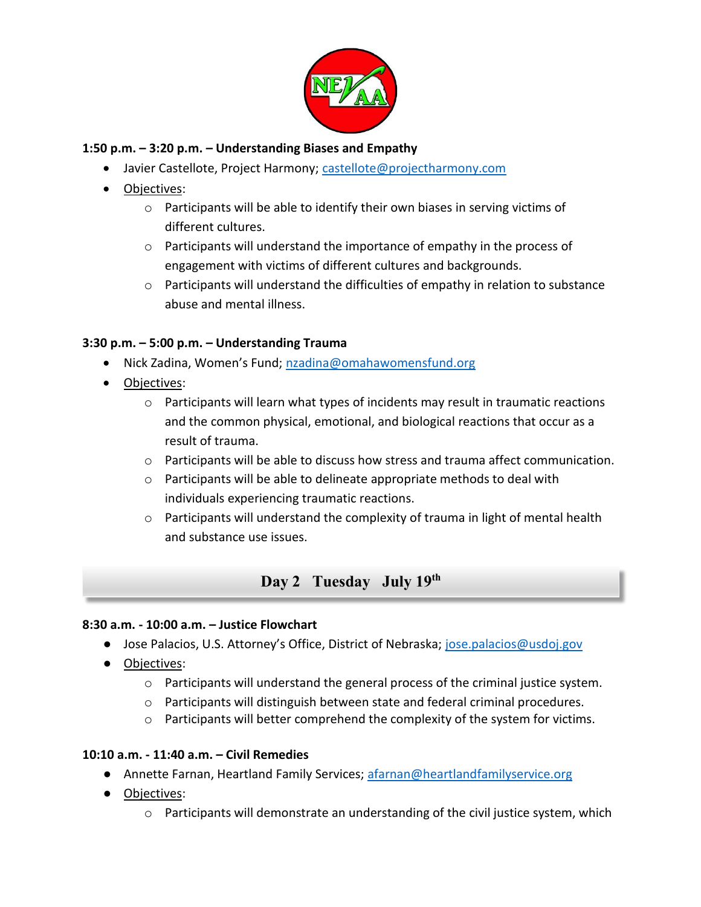

#### **1:50 p.m. – 3:20 p.m. – Understanding Biases and Empathy**

- Javier Castellote, Project Harmony; [castellote@projectharmony.com](mailto:castellote@projectharmony.com)
- Objectives:
	- o Participants will be able to identify their own biases in serving victims of different cultures.
	- $\circ$  Participants will understand the importance of empathy in the process of engagement with victims of different cultures and backgrounds.
	- $\circ$  Participants will understand the difficulties of empathy in relation to substance abuse and mental illness.

## **3:30 p.m. – 5:00 p.m. – Understanding Trauma**

- Nick Zadina, Women's Fund; [nzadina@omahawomensfund.org](mailto:nzadina@omahawomensfund.org)
- Objectives:
	- o Participants will learn what types of incidents may result in traumatic reactions and the common physical, emotional, and biological reactions that occur as a result of trauma.
	- $\circ$  Participants will be able to discuss how stress and trauma affect communication.
	- $\circ$  Participants will be able to delineate appropriate methods to deal with individuals experiencing traumatic reactions.
	- $\circ$  Participants will understand the complexity of trauma in light of mental health and substance use issues.

# **Day 2 Tuesday July 19 th**

#### **8:30 a.m. - 10:00 a.m. – Justice Flowchart**

- Jose Palacios, U.S. Attorney's Office, District of Nebraska; [jose.palacios@usdoj.gov](mailto:jose.palacios@usdoj.gov)
- Objectives:
	- $\circ$  Participants will understand the general process of the criminal justice system.
	- $\circ$  Participants will distinguish between state and federal criminal procedures.
	- $\circ$  Participants will better comprehend the complexity of the system for victims.

#### **10:10 a.m. - 11:40 a.m. – Civil Remedies**

- Annette Farnan, Heartland Family Services; [afarnan@heartlandfamilyservice.org](mailto:afarnan@heartlandfamilyservice.org)
- Objectives:
	- $\circ$  Participants will demonstrate an understanding of the civil justice system, which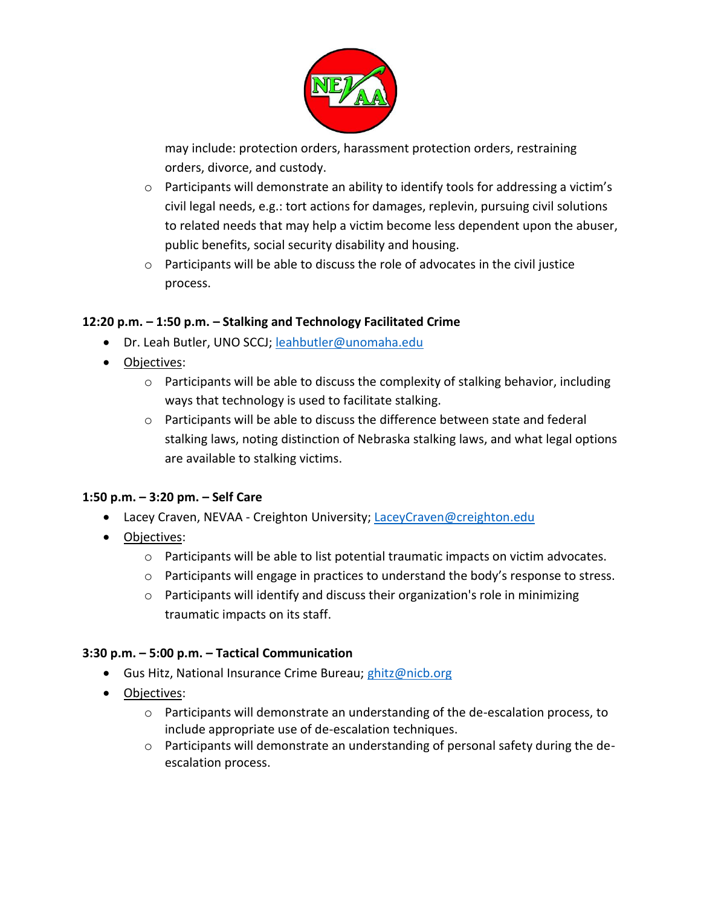

may include: protection orders, harassment protection orders, restraining orders, divorce, and custody.

- $\circ$  Participants will demonstrate an ability to identify tools for addressing a victim's civil legal needs, e.g.: tort actions for damages, replevin, pursuing civil solutions to related needs that may help a victim become less dependent upon the abuser, public benefits, social security disability and housing.
- o Participants will be able to discuss the role of advocates in the civil justice process.

## **12:20 p.m. – 1:50 p.m. – Stalking and Technology Facilitated Crime**

- Dr. Leah Butler, UNO SCCJ; [leahbutler@unomaha.edu](mailto:leahbutler@unomaha.edu)
- Objectives:
	- $\circ$  Participants will be able to discuss the complexity of stalking behavior, including ways that technology is used to facilitate stalking.
	- $\circ$  Participants will be able to discuss the difference between state and federal stalking laws, noting distinction of Nebraska stalking laws, and what legal options are available to stalking victims.

# **1:50 p.m. – 3:20 pm. – Self Care**

- Lacey Craven, NEVAA Creighton University; [LaceyCraven@creighton.edu](mailto:LaceyCraven@creighton.edu)
- Objectives:
	- $\circ$  Participants will be able to list potential traumatic impacts on victim advocates.
	- $\circ$  Participants will engage in practices to understand the body's response to stress.
	- $\circ$  Participants will identify and discuss their organization's role in minimizing traumatic impacts on its staff.

#### **3:30 p.m. – 5:00 p.m. – Tactical Communication**

- Gus Hitz, National Insurance Crime Bureau; [ghitz@nicb.org](mailto:ghitz@nicb.org)
- Objectives:
	- $\circ$  Participants will demonstrate an understanding of the de-escalation process, to include appropriate use of de-escalation techniques.
	- $\circ$  Participants will demonstrate an understanding of personal safety during the deescalation process.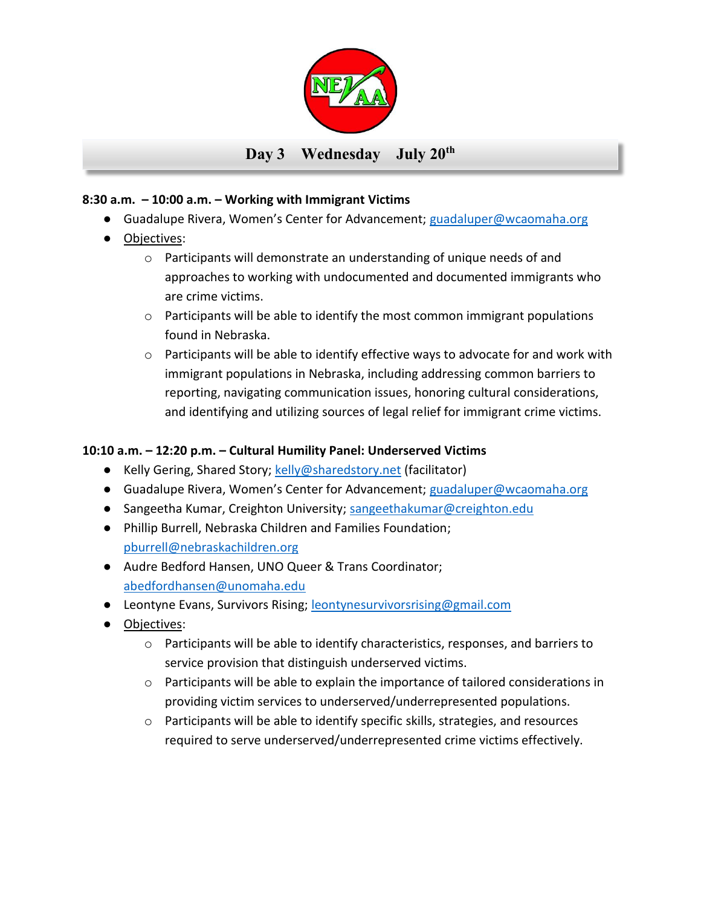

## **8:30 a.m. – 10:00 a.m. – Working with Immigrant Victims**

- Guadalupe Rivera, Women's Center for Advancement; [guadaluper@wcaomaha.org](mailto:guadaluper@wcaomaha.org)
- Objectives:
	- o Participants will demonstrate an understanding of unique needs of and approaches to working with undocumented and documented immigrants who are crime victims.
	- $\circ$  Participants will be able to identify the most common immigrant populations found in Nebraska.
	- $\circ$  Participants will be able to identify effective ways to advocate for and work with immigrant populations in Nebraska, including addressing common barriers to reporting, navigating communication issues, honoring cultural considerations, and identifying and utilizing sources of legal relief for immigrant crime victims.

## **10:10 a.m. – 12:20 p.m. – Cultural Humility Panel: Underserved Victims**

- Kelly Gering, Shared Story; [kelly@sharedstory.net](mailto:kelly@sharedstory.net) (facilitator)
- Guadalupe Rivera, Women's Center for Advancement; [guadaluper@wcaomaha.org](mailto:guadaluper@wcaomaha.org)
- Sangeetha Kumar, Creighton University; [sangeethakumar@creighton.edu](mailto:sangeethakumar@creighton.edu)
- Phillip Burrell, Nebraska Children and Families Foundation; [pburrell@nebraskachildren.org](mailto:pburrell@nebraskachildren.org)
- Audre Bedford Hansen, UNO Queer & Trans Coordinator; [abedfordhansen@unomaha.edu](mailto:abedfordhansen@unomaha.edu)
- Leontyne Evans, Survivors Rising; [leontynesurvivorsrising@gmail.com](mailto:leontynesurvivorsrising@gmail.com)
- Objectives:
	- $\circ$  Participants will be able to identify characteristics, responses, and barriers to service provision that distinguish underserved victims.
	- $\circ$  Participants will be able to explain the importance of tailored considerations in providing victim services to underserved/underrepresented populations.
	- o Participants will be able to identify specific skills, strategies, and resources required to serve underserved/underrepresented crime victims effectively.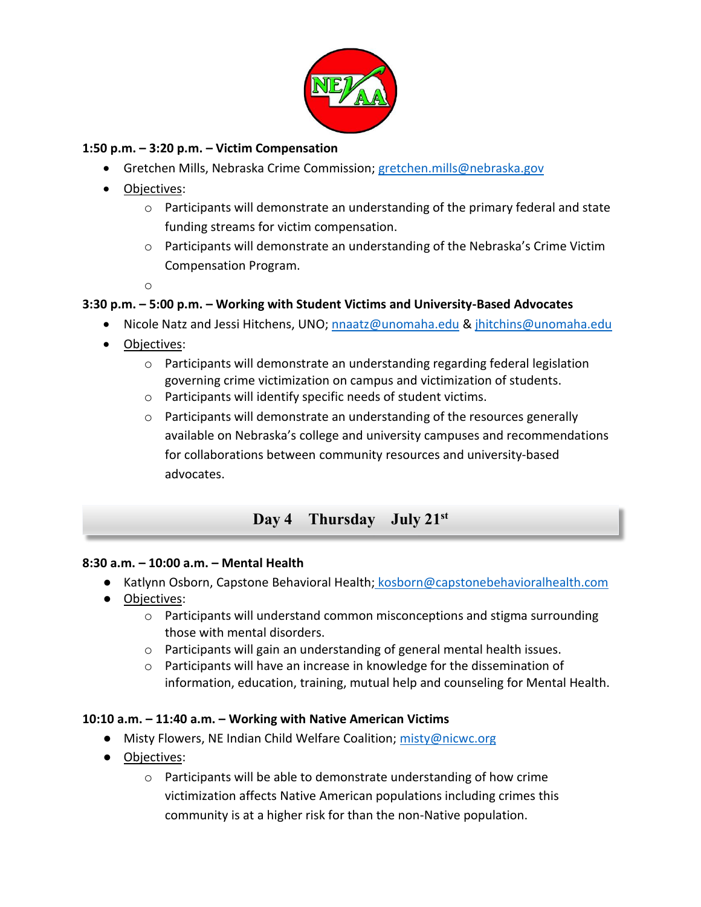![](_page_6_Picture_0.jpeg)

#### **1:50 p.m. – 3:20 p.m. – Victim Compensation**

- Gretchen Mills, Nebraska Crime Commission; [gretchen.mills@nebraska.gov](mailto:gretchen.mills@nebraska.gov)
- Objectives:
	- o Participants will demonstrate an understanding of the primary federal and state funding streams for victim compensation.
	- $\circ$  Participants will demonstrate an understanding of the Nebraska's Crime Victim Compensation Program.

o

#### **3:30 p.m. – 5:00 p.m. – Working with Student Victims and University-Based Advocates**

- Nicole Natz and Jessi Hitchens, UNO[; nnaatz@unomaha.edu](mailto:nnaatz@unomaha.edu) & [jhitchins@unomaha.edu](mailto:jhitchins@unomaha.edu)
- Objectives:
	- $\circ$  Participants will demonstrate an understanding regarding federal legislation governing crime victimization on campus and victimization of students.
	- o Participants will identify specific needs of student victims.
	- $\circ$  Participants will demonstrate an understanding of the resources generally available on Nebraska's college and university campuses and recommendations for collaborations between community resources and university-based advocates.

# **Day 4 Thursday July 21st**

#### **8:30 a.m. – 10:00 a.m. – Mental Health**

- Katlynn Osborn, Capstone Behavioral Health; [kosborn@capstonebehavioralhealth.com](mailto:kosborn@capstonebehavioralhealth.com)
- Objectives:
	- $\circ$  Participants will understand common misconceptions and stigma surrounding those with mental disorders.
	- o Participants will gain an understanding of general mental health issues.
	- $\circ$  Participants will have an increase in knowledge for the dissemination of information, education, training, mutual help and counseling for Mental Health.

#### **10:10 a.m. – 11:40 a.m. – Working with Native American Victims**

- Misty Flowers, NE Indian Child Welfare Coalition; [misty@nicwc.org](mailto:misty@nicwc.org)
- Objectives:
	- $\circ$  Participants will be able to demonstrate understanding of how crime victimization affects Native American populations including crimes this community is at a higher risk for than the non-Native population.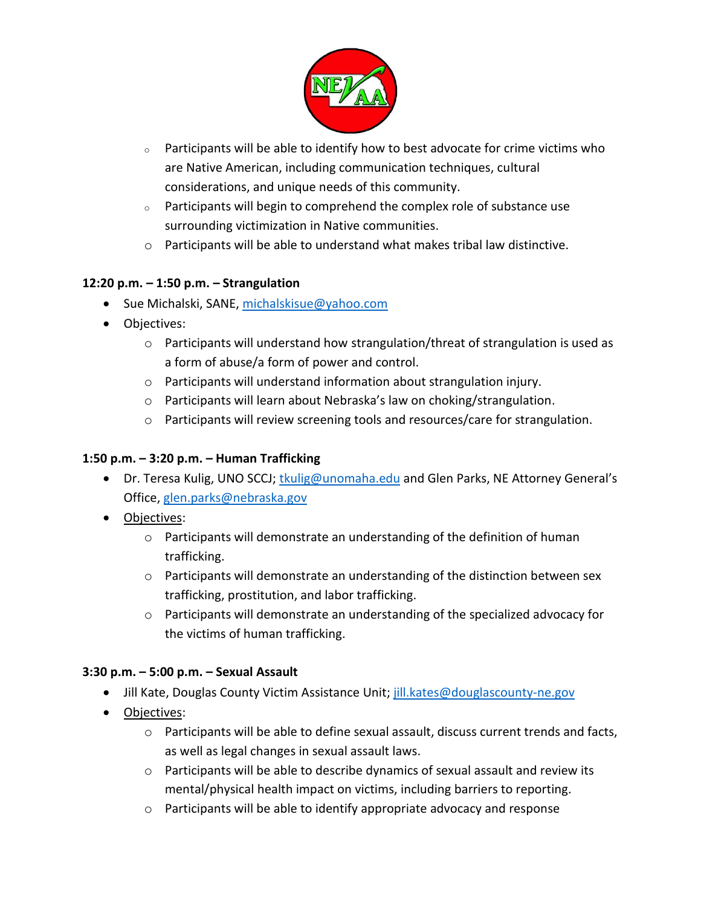![](_page_7_Picture_0.jpeg)

- $\circ$  Participants will be able to identify how to best advocate for crime victims who are Native American, including communication techniques, cultural considerations, and unique needs of this community.
- <sup>o</sup> Participants will begin to comprehend the complex role of substance use surrounding victimization in Native communities.
- o Participants will be able to understand what makes tribal law distinctive.

# **12:20 p.m. – 1:50 p.m. – Strangulation**

- Sue Michalski, SANE, [michalskisue@yahoo.com](mailto:michalskisue@yahoo.com)
- Objectives:
	- o Participants will understand how strangulation/threat of strangulation is used as a form of abuse/a form of power and control.
	- o Participants will understand information about strangulation injury.
	- o Participants will learn about Nebraska's law on choking/strangulation.
	- $\circ$  Participants will review screening tools and resources/care for strangulation.

### **1:50 p.m. – 3:20 p.m. – Human Trafficking**

- Dr. Teresa Kulig, UNO SCCJ; [tkulig@unomaha.edu](mailto:tkulig@unomaha.edu) and Glen Parks, NE Attorney General's Office, [glen.parks@nebraska.gov](mailto:glen.parks@nebraska.gov)
- Objectives:
	- $\circ$  Participants will demonstrate an understanding of the definition of human trafficking.
	- o Participants will demonstrate an understanding of the distinction between sex trafficking, prostitution, and labor trafficking.
	- $\circ$  Participants will demonstrate an understanding of the specialized advocacy for the victims of human trafficking.

#### **3:30 p.m. – 5:00 p.m. – Sexual Assault**

- Jill Kate, Douglas County Victim Assistance Unit[; jill.kates@douglascounty-ne.gov](mailto:jill.kates@douglascounty-ne.gov)
- Objectives:
	- $\circ$  Participants will be able to define sexual assault, discuss current trends and facts, as well as legal changes in sexual assault laws.
	- $\circ$  Participants will be able to describe dynamics of sexual assault and review its mental/physical health impact on victims, including barriers to reporting.
	- o Participants will be able to identify appropriate advocacy and response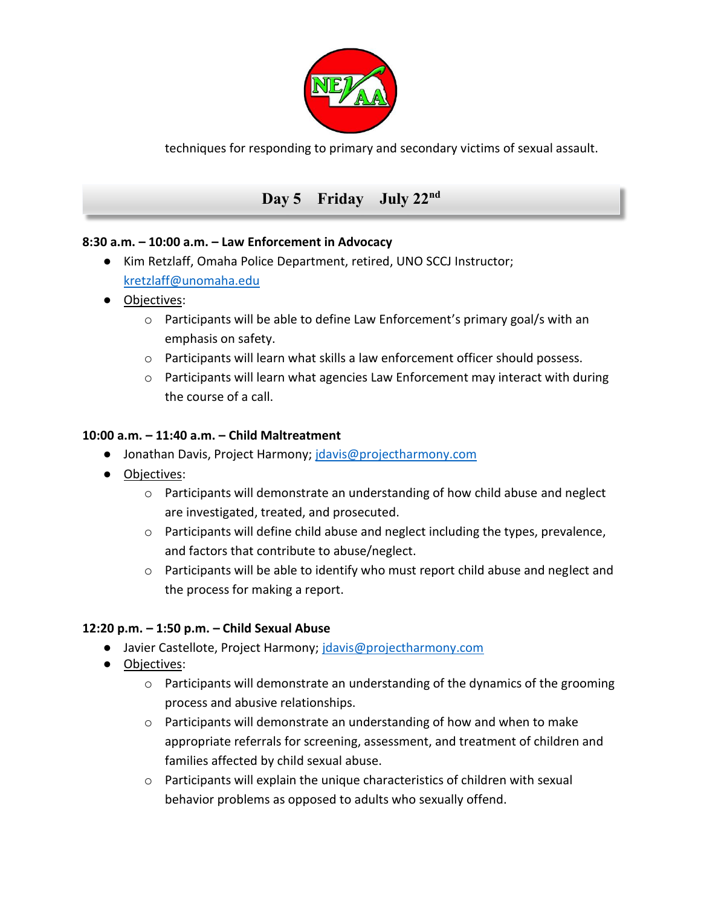![](_page_8_Picture_0.jpeg)

techniques for responding to primary and secondary victims of sexual assault.

# Day 5 Friday July 22<sup>nd</sup>

#### **8:30 a.m. – 10:00 a.m. – Law Enforcement in Advocacy**

- Kim Retzlaff, Omaha Police Department, retired, UNO SCCJ Instructor; [kretzlaff@unomaha.edu](mailto:kretzlaff@unomaha.edu)
- Objectives:
	- $\circ$  Participants will be able to define Law Enforcement's primary goal/s with an emphasis on safety.
	- o Participants will learn what skills a law enforcement officer should possess.
	- o Participants will learn what agencies Law Enforcement may interact with during the course of a call.

#### **10:00 a.m. – 11:40 a.m. – Child Maltreatment**

- Jonathan Davis, Project Harmony; [jdavis@projectharmony.com](mailto:jdavis@projectharmony.com)
- Objectives:
	- $\circ$  Participants will demonstrate an understanding of how child abuse and neglect are investigated, treated, and prosecuted.
	- $\circ$  Participants will define child abuse and neglect including the types, prevalence, and factors that contribute to abuse/neglect.
	- o Participants will be able to identify who must report child abuse and neglect and the process for making a report.

#### **12:20 p.m. – 1:50 p.m. – Child Sexual Abuse**

- Javier Castellote, Project Harmony; [jdavis@projectharmony.com](mailto:jdavis@projectharmony.com)
- Objectives:
	- $\circ$  Participants will demonstrate an understanding of the dynamics of the grooming process and abusive relationships.
	- $\circ$  Participants will demonstrate an understanding of how and when to make appropriate referrals for screening, assessment, and treatment of children and families affected by child sexual abuse.
	- $\circ$  Participants will explain the unique characteristics of children with sexual behavior problems as opposed to adults who sexually offend.